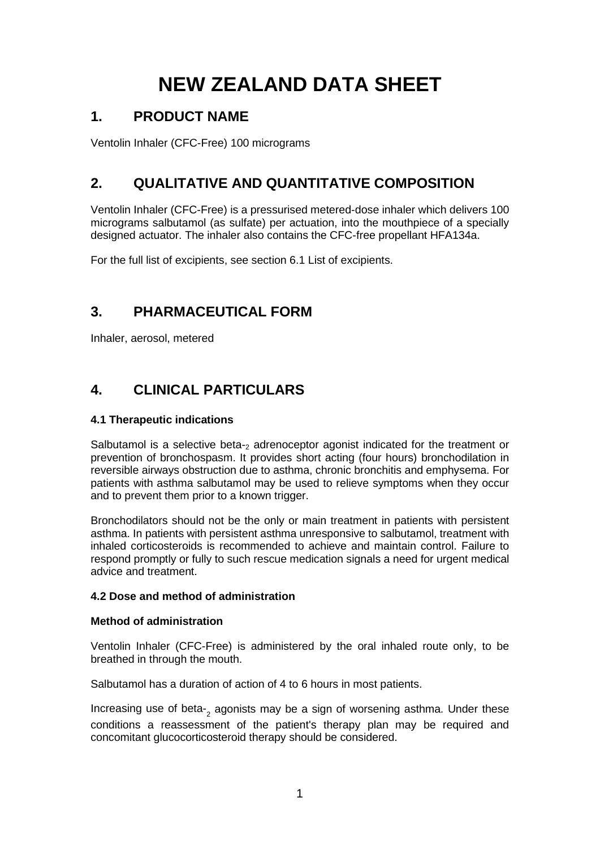# **NEW ZEALAND DATA SHEET**

## **1. PRODUCT NAME**

Ventolin Inhaler (CFC-Free) 100 micrograms

# **2. QUALITATIVE AND QUANTITATIVE COMPOSITION**

Ventolin Inhaler (CFC-Free) is a pressurised metered-dose inhaler which delivers 100 micrograms salbutamol (as sulfate) per actuation, into the mouthpiece of a specially designed actuator. The inhaler also contains the CFC-free propellant HFA134a.

For the full list of excipients, see section 6.1 List of excipients.

# **3. PHARMACEUTICAL FORM**

Inhaler, aerosol, metered

# **4. CLINICAL PARTICULARS**

## **4.1 Therapeutic indications**

Salbutamol is a selective beta-2 adrenoceptor agonist indicated for the treatment or prevention of bronchospasm. It provides short acting (four hours) bronchodilation in reversible airways obstruction due to asthma, chronic bronchitis and emphysema. For patients with asthma salbutamol may be used to relieve symptoms when they occur and to prevent them prior to a known trigger.

Bronchodilators should not be the only or main treatment in patients with persistent asthma. In patients with persistent asthma unresponsive to salbutamol, treatment with inhaled corticosteroids is recommended to achieve and maintain control. Failure to respond promptly or fully to such rescue medication signals a need for urgent medical advice and treatment.

## **4.2 Dose and method of administration**

## **Method of administration**

Ventolin Inhaler (CFC-Free) is administered by the oral inhaled route only, to be breathed in through the mouth.

Salbutamol has a duration of action of 4 to 6 hours in most patients.

Increasing use of beta-<sup>2</sup> agonists may be a sign of worsening asthma. Under these conditions a reassessment of the patient's therapy plan may be required and concomitant glucocorticosteroid therapy should be considered.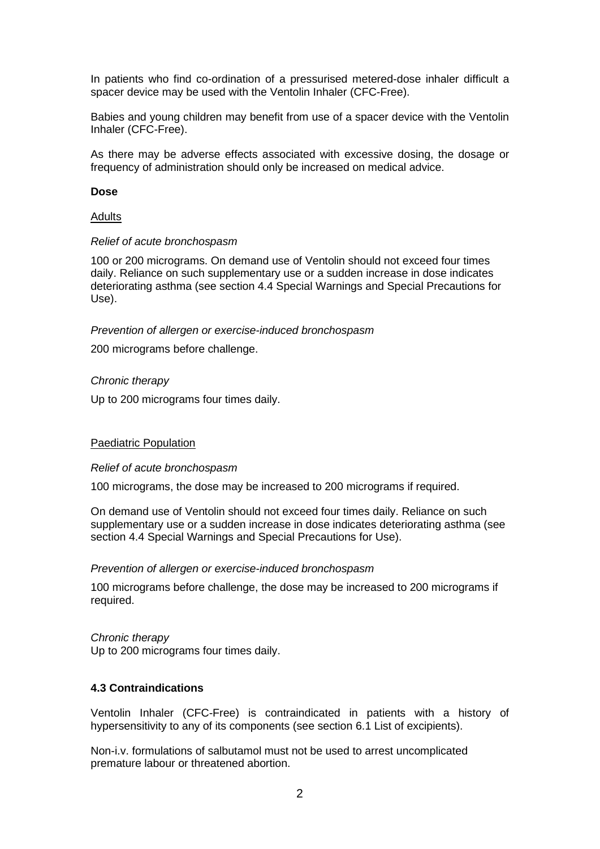In patients who find co-ordination of a pressurised metered-dose inhaler difficult a spacer device may be used with the Ventolin Inhaler (CFC-Free).

Babies and young children may benefit from use of a spacer device with the Ventolin Inhaler (CFC-Free).

As there may be adverse effects associated with excessive dosing, the dosage or frequency of administration should only be increased on medical advice.

#### **Dose**

#### Adults

#### *Relief of acute bronchospasm*

100 or 200 micrograms. On demand use of Ventolin should not exceed four times daily. Reliance on such supplementary use or a sudden increase in dose indicates deteriorating asthma (see section 4.4 Special Warnings and Special Precautions for Use).

#### *Prevention of allergen or exercise-induced bronchospasm*

200 micrograms before challenge.

#### *Chronic therapy*

Up to 200 micrograms four times daily.

#### Paediatric Population

#### *Relief of acute bronchospasm*

100 micrograms, the dose may be increased to 200 micrograms if required.

On demand use of Ventolin should not exceed four times daily. Reliance on such supplementary use or a sudden increase in dose indicates deteriorating asthma (see section 4.4 Special Warnings and Special Precautions for Use).

#### *Prevention of allergen or exercise-induced bronchospasm*

100 micrograms before challenge, the dose may be increased to 200 micrograms if required.

*Chronic therapy* Up to 200 micrograms four times daily.

#### **4.3 Contraindications**

Ventolin Inhaler (CFC-Free) is contraindicated in patients with a history of hypersensitivity to any of its components (see section 6.1 List of excipients).

Non-i.v. formulations of salbutamol must not be used to arrest uncomplicated premature labour or threatened abortion.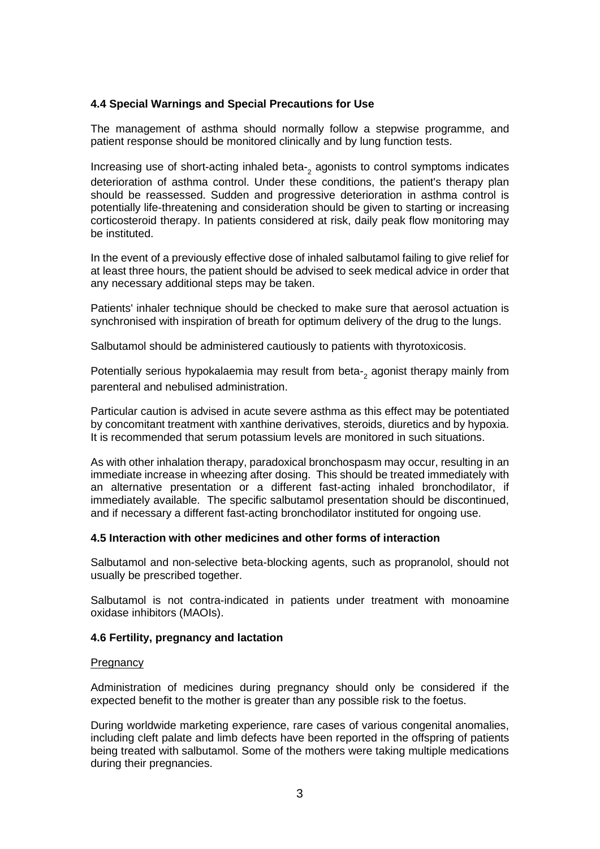## **4.4 Special Warnings and Special Precautions for Use**

The management of asthma should normally follow a stepwise programme, and patient response should be monitored clinically and by lung function tests.

Increasing use of short-acting inhaled beta-<sup>2</sup> agonists to control symptoms indicates deterioration of asthma control. Under these conditions, the patient's therapy plan should be reassessed. Sudden and progressive deterioration in asthma control is potentially life-threatening and consideration should be given to starting or increasing corticosteroid therapy. In patients considered at risk, daily peak flow monitoring may be instituted.

In the event of a previously effective dose of inhaled salbutamol failing to give relief for at least three hours, the patient should be advised to seek medical advice in order that any necessary additional steps may be taken.

Patients' inhaler technique should be checked to make sure that aerosol actuation is synchronised with inspiration of breath for optimum delivery of the drug to the lungs.

Salbutamol should be administered cautiously to patients with thyrotoxicosis.

Potentially serious hypokalaemia may result from beta-<sub>2</sub> agonist therapy mainly from parenteral and nebulised administration.

Particular caution is advised in acute severe asthma as this effect may be potentiated by concomitant treatment with xanthine derivatives, steroids, diuretics and by hypoxia. It is recommended that serum potassium levels are monitored in such situations.

As with other inhalation therapy, paradoxical bronchospasm may occur, resulting in an immediate increase in wheezing after dosing. This should be treated immediately with an alternative presentation or a different fast-acting inhaled bronchodilator, if immediately available. The specific salbutamol presentation should be discontinued, and if necessary a different fast-acting bronchodilator instituted for ongoing use.

#### **4.5 Interaction with other medicines and other forms of interaction**

Salbutamol and non-selective beta-blocking agents, such as propranolol, should not usually be prescribed together.

Salbutamol is not contra-indicated in patients under treatment with monoamine oxidase inhibitors (MAOIs).

#### **4.6 Fertility, pregnancy and lactation**

#### **Pregnancy**

Administration of medicines during pregnancy should only be considered if the expected benefit to the mother is greater than any possible risk to the foetus.

During worldwide marketing experience, rare cases of various congenital anomalies, including cleft palate and limb defects have been reported in the offspring of patients being treated with salbutamol. Some of the mothers were taking multiple medications during their pregnancies.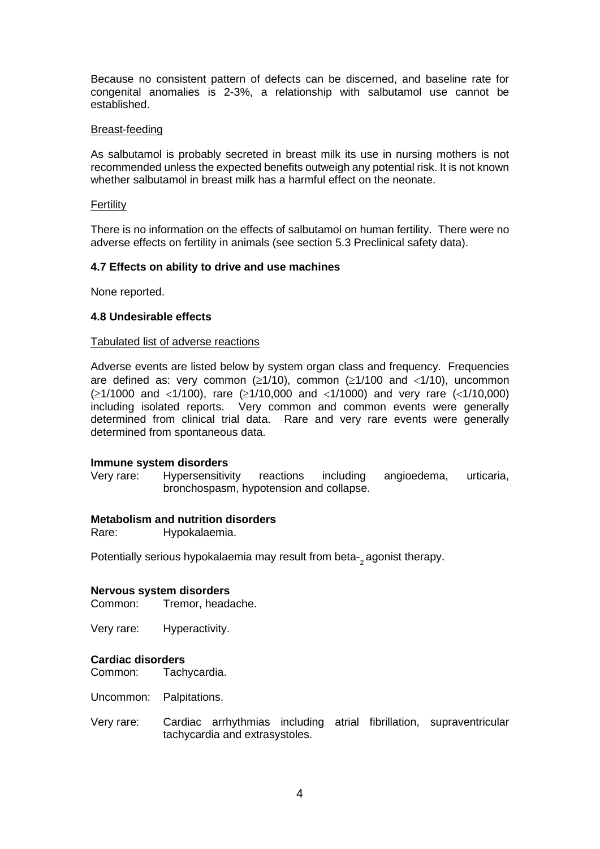Because no consistent pattern of defects can be discerned, and baseline rate for congenital anomalies is 2-3%, a relationship with salbutamol use cannot be established.

#### Breast-feeding

As salbutamol is probably secreted in breast milk its use in nursing mothers is not recommended unless the expected benefits outweigh any potential risk. It is not known whether salbutamol in breast milk has a harmful effect on the neonate.

#### **Fertility**

There is no information on the effects of salbutamol on human fertility. There were no adverse effects on fertility in animals (see section 5.3 Preclinical safety data).

#### **4.7 Effects on ability to drive and use machines**

None reported.

#### **4.8 Undesirable effects**

#### Tabulated list of adverse reactions

Adverse events are listed below by system organ class and frequency. Frequencies are defined as: very common ( $\geq 1/10$ ), common ( $\geq 1/100$  and  $\lt 1/10$ ), uncommon (≥1/1000 and <1/100), rare (≥1/10,000 and <1/1000) and very rare (<1/10,000) including isolated reports. Very common and common events were generally determined from clinical trial data. Rare and very rare events were generally determined from spontaneous data.

#### **Immune system disorders**

Very rare: Hypersensitivity reactions including angioedema, urticaria, bronchospasm, hypotension and collapse.

#### **Metabolism and nutrition disorders**

Rare: Hypokalaemia.

Potentially serious hypokalaemia may result from beta-<sub>2</sub> agonist therapy.

#### **Nervous system disorders**

Common: Tremor, headache.

Very rare: Hyperactivity.

# **Cardiac disorders**

Tachycardia.

Uncommon: Palpitations.

Very rare: Cardiac arrhythmias including atrial fibrillation, supraventricular tachycardia and extrasystoles.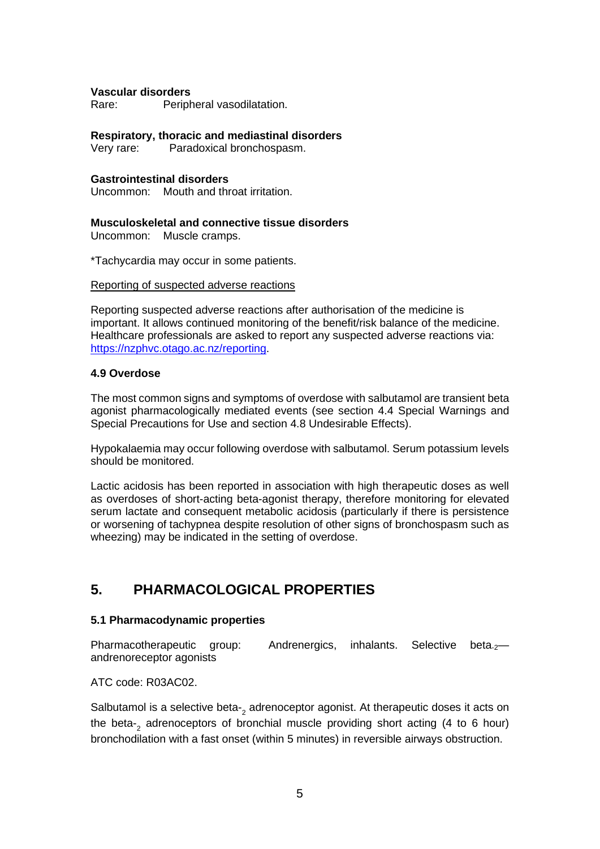#### **Vascular disorders**

Rare: Peripheral vasodilatation.

**Respiratory, thoracic and mediastinal disorders**

Paradoxical bronchospasm.

#### **Gastrointestinal disorders**

Uncommon: Mouth and throat irritation.

#### **Musculoskeletal and connective tissue disorders**

Uncommon: Muscle cramps.

\*Tachycardia may occur in some patients.

#### Reporting of suspected adverse reactions

Reporting suspected adverse reactions after authorisation of the medicine is important. It allows continued monitoring of the benefit/risk balance of the medicine. Healthcare professionals are asked to report any suspected adverse reactions via: [https://nzphvc.otago.ac.nz/reporting.](https://nzphvc.otago.ac.nz/reporting)

#### **4.9 Overdose**

The most common signs and symptoms of overdose with salbutamol are transient beta agonist pharmacologically mediated events (see section 4.4 Special Warnings and Special Precautions for Use and section 4.8 Undesirable Effects).

Hypokalaemia may occur following overdose with salbutamol. Serum potassium levels should be monitored.

Lactic acidosis has been reported in association with high therapeutic doses as well as overdoses of short-acting beta-agonist therapy, therefore monitoring for elevated serum lactate and consequent metabolic acidosis (particularly if there is persistence or worsening of tachypnea despite resolution of other signs of bronchospasm such as wheezing) may be indicated in the setting of overdose.

# **5. PHARMACOLOGICAL PROPERTIES**

## **5.1 Pharmacodynamic properties**

Pharmacotherapeutic group: Andrenergics, inhalants. Selective beta<sub>-2</sub>andrenoreceptor agonists

ATC code: R03AC02.

Salbutamol is a selective beta-<sub>2</sub> adrenoceptor agonist. At therapeutic doses it acts on the beta-<sup>2</sup> adrenoceptors of bronchial muscle providing short acting (4 to 6 hour) bronchodilation with a fast onset (within 5 minutes) in reversible airways obstruction.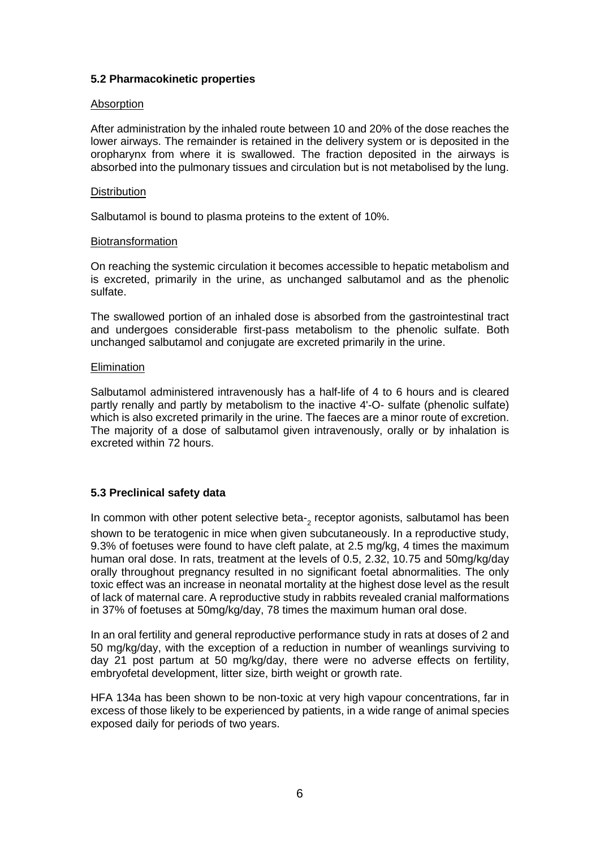#### **5.2 Pharmacokinetic properties**

#### Absorption

After administration by the inhaled route between 10 and 20% of the dose reaches the lower airways. The remainder is retained in the delivery system or is deposited in the oropharynx from where it is swallowed. The fraction deposited in the airways is absorbed into the pulmonary tissues and circulation but is not metabolised by the lung.

#### **Distribution**

Salbutamol is bound to plasma proteins to the extent of 10%.

#### Biotransformation

On reaching the systemic circulation it becomes accessible to hepatic metabolism and is excreted, primarily in the urine, as unchanged salbutamol and as the phenolic sulfate.

The swallowed portion of an inhaled dose is absorbed from the gastrointestinal tract and undergoes considerable first-pass metabolism to the phenolic sulfate. Both unchanged salbutamol and conjugate are excreted primarily in the urine.

#### **Elimination**

Salbutamol administered intravenously has a half-life of 4 to 6 hours and is cleared partly renally and partly by metabolism to the inactive 4'-O- sulfate (phenolic sulfate) which is also excreted primarily in the urine. The faeces are a minor route of excretion. The majority of a dose of salbutamol given intravenously, orally or by inhalation is excreted within 72 hours.

## **5.3 Preclinical safety data**

In common with other potent selective beta-<sub>2</sub> receptor agonists, salbutamol has been shown to be teratogenic in mice when given subcutaneously. In a reproductive study, 9.3% of foetuses were found to have cleft palate, at 2.5 mg/kg, 4 times the maximum human oral dose. In rats, treatment at the levels of 0.5, 2.32, 10.75 and 50mg/kg/day orally throughout pregnancy resulted in no significant foetal abnormalities. The only toxic effect was an increase in neonatal mortality at the highest dose level as the result of lack of maternal care. A reproductive study in rabbits revealed cranial malformations in 37% of foetuses at 50mg/kg/day, 78 times the maximum human oral dose.

In an oral fertility and general reproductive performance study in rats at doses of 2 and 50 mg/kg/day, with the exception of a reduction in number of weanlings surviving to day 21 post partum at 50 mg/kg/day, there were no adverse effects on fertility, embryofetal development, litter size, birth weight or growth rate.

HFA 134a has been shown to be non-toxic at very high vapour concentrations, far in excess of those likely to be experienced by patients, in a wide range of animal species exposed daily for periods of two years.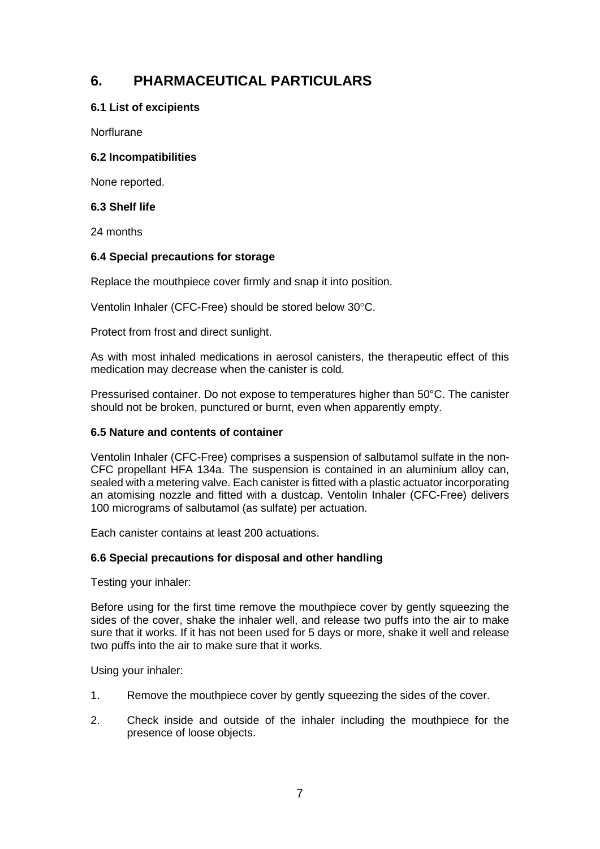# **6. PHARMACEUTICAL PARTICULARS**

## **6.1 List of excipients**

Norflurane

## **6.2 Incompatibilities**

None reported.

## **6.3 Shelf life**

24 months

## **6.4 Special precautions for storage**

Replace the mouthpiece cover firmly and snap it into position.

Ventolin Inhaler (CFC-Free) should be stored below 30°C.

Protect from frost and direct sunlight.

As with most inhaled medications in aerosol canisters, the therapeutic effect of this medication may decrease when the canister is cold.

Pressurised container. Do not expose to temperatures higher than 50°C. The canister should not be broken, punctured or burnt, even when apparently empty.

## **6.5 Nature and contents of container**

Ventolin Inhaler (CFC-Free) comprises a suspension of salbutamol sulfate in the non-CFC propellant HFA 134a. The suspension is contained in an aluminium alloy can, sealed with a metering valve. Each canister is fitted with a plastic actuator incorporating an atomising nozzle and fitted with a dustcap. Ventolin Inhaler (CFC-Free) delivers 100 micrograms of salbutamol (as sulfate) per actuation.

Each canister contains at least 200 actuations.

## **6.6 Special precautions for disposal and other handling**

Testing your inhaler:

Before using for the first time remove the mouthpiece cover by gently squeezing the sides of the cover, shake the inhaler well, and release two puffs into the air to make sure that it works. If it has not been used for 5 days or more, shake it well and release two puffs into the air to make sure that it works.

Using your inhaler:

- 1. Remove the mouthpiece cover by gently squeezing the sides of the cover.
- 2. Check inside and outside of the inhaler including the mouthpiece for the presence of loose objects.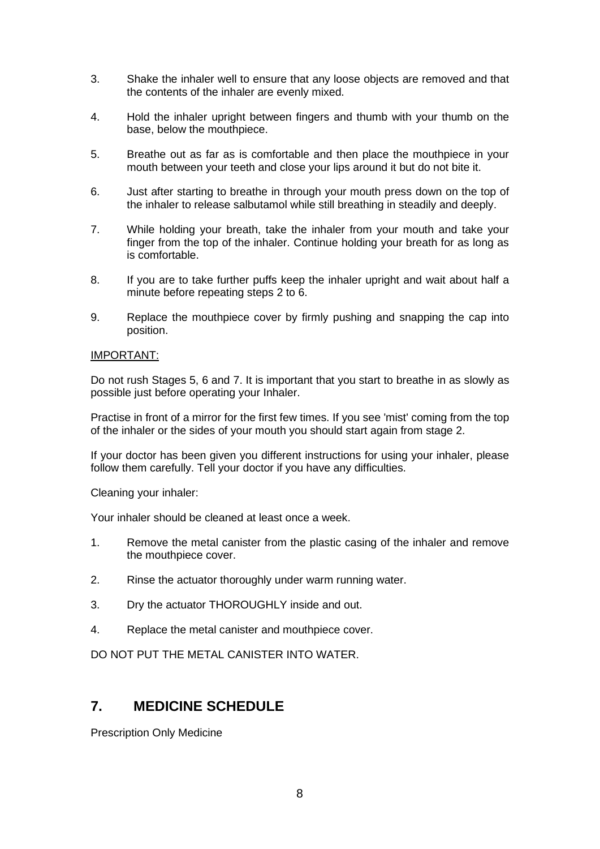- 3. Shake the inhaler well to ensure that any loose objects are removed and that the contents of the inhaler are evenly mixed.
- 4. Hold the inhaler upright between fingers and thumb with your thumb on the base, below the mouthpiece.
- 5. Breathe out as far as is comfortable and then place the mouthpiece in your mouth between your teeth and close your lips around it but do not bite it.
- 6. Just after starting to breathe in through your mouth press down on the top of the inhaler to release salbutamol while still breathing in steadily and deeply.
- 7. While holding your breath, take the inhaler from your mouth and take your finger from the top of the inhaler. Continue holding your breath for as long as is comfortable.
- 8. If you are to take further puffs keep the inhaler upright and wait about half a minute before repeating steps 2 to 6.
- 9. Replace the mouthpiece cover by firmly pushing and snapping the cap into position.

#### IMPORTANT:

Do not rush Stages 5, 6 and 7. It is important that you start to breathe in as slowly as possible just before operating your Inhaler.

Practise in front of a mirror for the first few times. If you see 'mist' coming from the top of the inhaler or the sides of your mouth you should start again from stage 2.

If your doctor has been given you different instructions for using your inhaler, please follow them carefully. Tell your doctor if you have any difficulties.

Cleaning your inhaler:

Your inhaler should be cleaned at least once a week.

- 1. Remove the metal canister from the plastic casing of the inhaler and remove the mouthpiece cover.
- 2. Rinse the actuator thoroughly under warm running water.
- 3. Dry the actuator THOROUGHLY inside and out.
- 4. Replace the metal canister and mouthpiece cover.

DO NOT PUT THE METAL CANISTER INTO WATER.

## **7. MEDICINE SCHEDULE**

Prescription Only Medicine